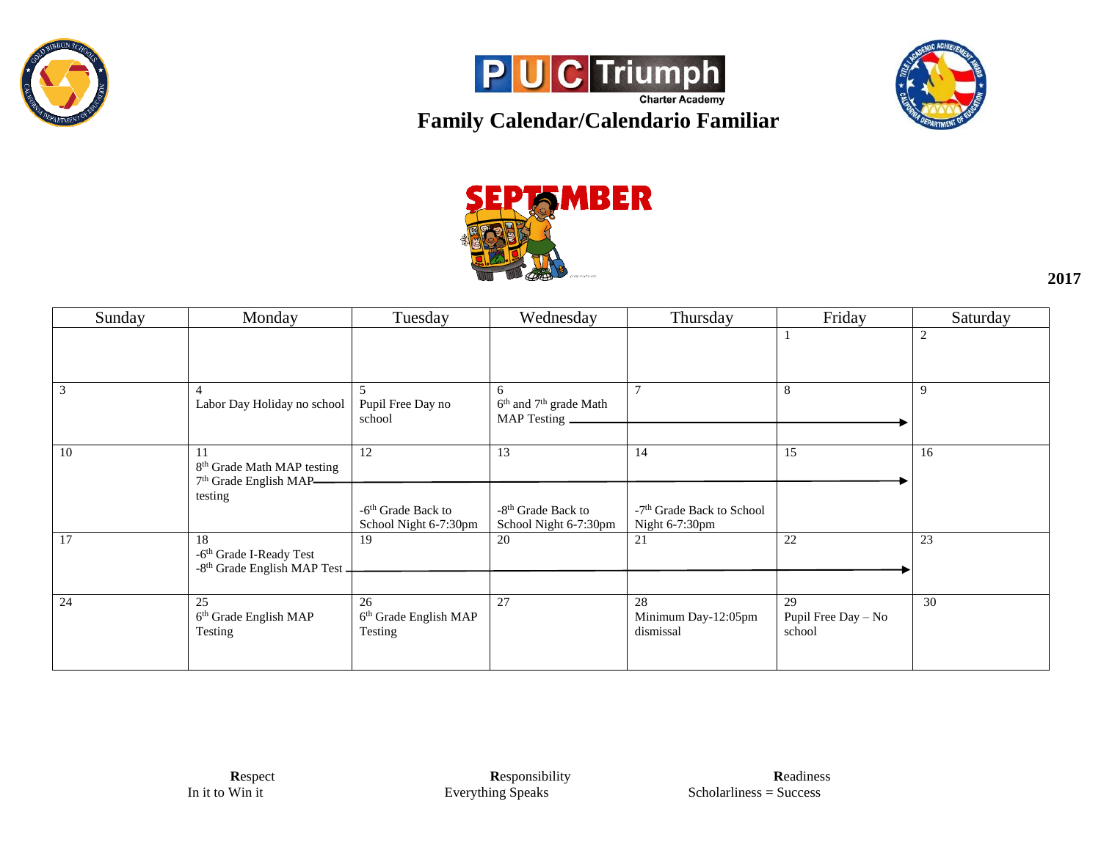







**2017**

| Sunday         | Monday                                                                                        | Tuesday                                            | Wednesday                                                            | Thursday                                                | Friday                              | Saturday       |
|----------------|-----------------------------------------------------------------------------------------------|----------------------------------------------------|----------------------------------------------------------------------|---------------------------------------------------------|-------------------------------------|----------------|
|                |                                                                                               |                                                    |                                                                      |                                                         |                                     | $\overline{2}$ |
| $\overline{3}$ | 4<br>Labor Day Holiday no school                                                              | $\overline{5}$<br>Pupil Free Day no<br>school      | 6<br>6 <sup>th</sup> and 7 <sup>th</sup> grade Math<br>MAP Testing _ |                                                         | 8                                   | 9              |
| -10            | 11<br>8 <sup>th</sup> Grade Math MAP testing<br>7 <sup>th</sup> Grade English MAP-<br>testing | 12                                                 | 13                                                                   | 14                                                      | 15                                  | 16             |
|                |                                                                                               | $-6th$ Grade Back to<br>School Night 6-7:30pm      | -8 <sup>th</sup> Grade Back to<br>School Night 6-7:30pm              | -7 <sup>th</sup> Grade Back to School<br>Night 6-7:30pm |                                     |                |
| 17             | 18<br>-6 <sup>th</sup> Grade I-Ready Test<br>-8 <sup>th</sup> Grade English MAP Test -        | 19                                                 | 20                                                                   | 21                                                      | 22                                  | 23             |
| 24             | 25<br>6 <sup>th</sup> Grade English MAP<br>Testing                                            | 26<br>6 <sup>th</sup> Grade English MAP<br>Testing | 27                                                                   | 28<br>Minimum Day-12:05pm<br>dismissal                  | 29<br>Pupil Free Day - No<br>school | 30             |